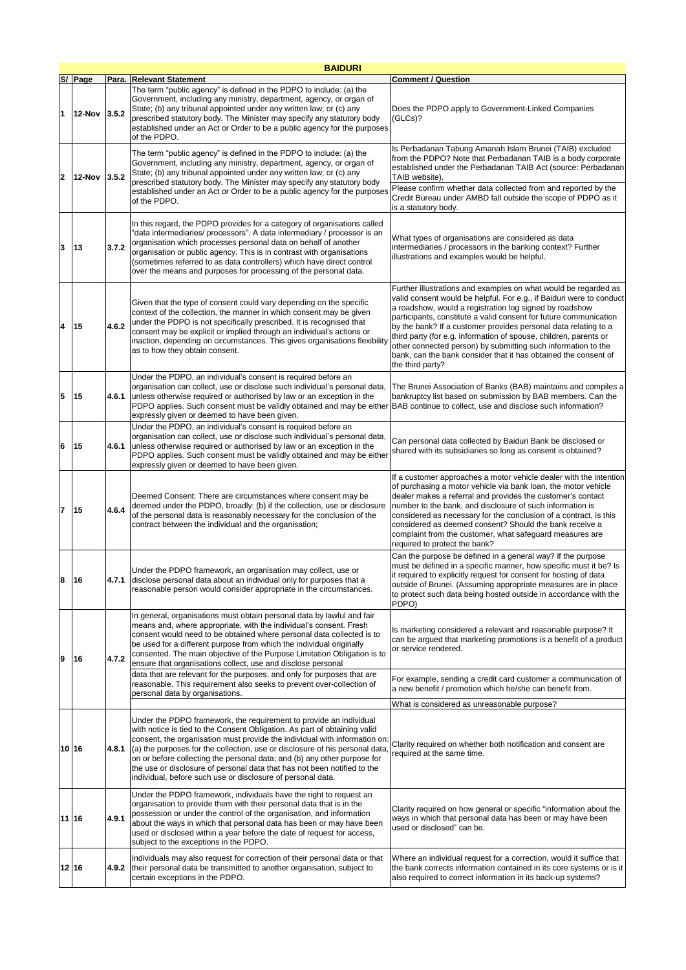|                         | <b>BAIDURI</b> |       |                                                                                                                                                                                                                                                                                                                                                                                                                                                                                                                                    |                                                                                                                                                                                                                                                                                                                                                                                                                                                                                                                                                                         |  |
|-------------------------|----------------|-------|------------------------------------------------------------------------------------------------------------------------------------------------------------------------------------------------------------------------------------------------------------------------------------------------------------------------------------------------------------------------------------------------------------------------------------------------------------------------------------------------------------------------------------|-------------------------------------------------------------------------------------------------------------------------------------------------------------------------------------------------------------------------------------------------------------------------------------------------------------------------------------------------------------------------------------------------------------------------------------------------------------------------------------------------------------------------------------------------------------------------|--|
|                         | S/ Page        |       | Para. Relevant Statement                                                                                                                                                                                                                                                                                                                                                                                                                                                                                                           | <b>Comment / Question</b>                                                                                                                                                                                                                                                                                                                                                                                                                                                                                                                                               |  |
| $\blacksquare$          | <b>12-Nov</b>  | 3.5.2 | The term "public agency" is defined in the PDPO to include: (a) the<br>Government, including any ministry, department, agency, or organ of<br>State; (b) any tribunal appointed under any written law; or (c) any<br>prescribed statutory body. The Minister may specify any statutory body<br>established under an Act or Order to be a public agency for the purposes<br>of the PDPO.                                                                                                                                            | Does the PDPO apply to Government-Linked Companies<br>(GLCs)?                                                                                                                                                                                                                                                                                                                                                                                                                                                                                                           |  |
| $\overline{\mathbf{2}}$ | <b>12-Nov</b>  | 3.5.2 | The term "public agency" is defined in the PDPO to include: (a) the<br>Government, including any ministry, department, agency, or organ of<br>State; (b) any tribunal appointed under any written law; or (c) any<br>prescribed statutory body. The Minister may specify any statutory body<br>established under an Act or Order to be a public agency for the purposes<br>of the PDPO.                                                                                                                                            | Is Perbadanan Tabung Amanah Islam Brunei (TAIB) excluded<br>from the PDPO? Note that Perbadanan TAIB is a body corporate<br>established under the Perbadanan TAIB Act (source: Perbadanan<br>TAIB website).<br>Please confirm whether data collected from and reported by the<br>Credit Bureau under AMBD fall outside the scope of PDPO as it<br>is a statutory body.                                                                                                                                                                                                  |  |
| 3                       | 13             | 3.7.2 | In this regard, the PDPO provides for a category of organisations called<br>"data intermediaries/ processors". A data intermediary / processor is an<br>organisation which processes personal data on behalf of another<br>organisation or public agency. This is in contrast with organisations<br>(sometimes referred to as data controllers) which have direct control<br>over the means and purposes for processing of the personal data.                                                                                      | What types of organisations are considered as data<br>intermediaries / processors in the banking context? Further<br>illustrations and examples would be helpful.                                                                                                                                                                                                                                                                                                                                                                                                       |  |
| $\overline{\mathbf{4}}$ | 15             | 4.6.2 | Given that the type of consent could vary depending on the specific<br>context of the collection, the manner in which consent may be given<br>under the PDPO is not specifically prescribed. It is recognised that<br>consent may be explicit or implied through an individual's actions or<br>inaction, depending on circumstances. This gives organisations flexibility<br>as to how they obtain consent.                                                                                                                        | Further illustrations and examples on what would be regarded as<br>valid consent would be helpful. For e.g., if Baiduri were to conduct<br>a roadshow, would a registration log signed by roadshow<br>participants, constitute a valid consent for future communication<br>by the bank? If a customer provides personal data relating to a<br>third party (for e.g. information of spouse, children, parents or<br>other connected person) by submitting such information to the<br>bank, can the bank consider that it has obtained the consent of<br>the third party? |  |
| 5                       | 15             | 4.6.1 | Under the PDPO, an individual's consent is required before an<br>organisation can collect, use or disclose such individual's personal data,<br>unless otherwise required or authorised by law or an exception in the<br>PDPO applies. Such consent must be validly obtained and may be either BAB continue to collect, use and disclose such information?<br>expressly given or deemed to have been given.                                                                                                                         | The Brunei Association of Banks (BAB) maintains and compiles a<br>bankruptcy list based on submission by BAB members. Can the                                                                                                                                                                                                                                                                                                                                                                                                                                           |  |
| 6                       | 15             | 4.6.1 | Under the PDPO, an individual's consent is required before an<br>organisation can collect, use or disclose such individual's personal data,<br>unless otherwise required or authorised by law or an exception in the<br>PDPO applies. Such consent must be validly obtained and may be either<br>expressly given or deemed to have been given.                                                                                                                                                                                     | Can personal data collected by Baiduri Bank be disclosed or<br>shared with its subsidiaries so long as consent is obtained?                                                                                                                                                                                                                                                                                                                                                                                                                                             |  |
| 7                       | 15             | 4.6.4 | Deemed Consent: There are circumstances where consent may be<br>deemed under the PDPO, broadly: (b) if the collection, use or disclosure<br>of the personal data is reasonably necessary for the conclusion of the<br>contract between the individual and the organisation;                                                                                                                                                                                                                                                        | If a customer approaches a motor vehicle dealer with the intention<br>of purchasing a motor vehicle via bank loan, the motor vehicle<br>dealer makes a referral and provides the customer's contact<br>number to the bank, and disclosure of such information is<br>considered as necessary for the conclusion of a contract, is this<br>considered as deemed consent? Should the bank receive a<br>complaint from the customer, what safeguard measures are<br>required to protect the bank?                                                                           |  |
| 8                       | 16             |       | Under the PDPO framework, an organisation may collect, use or<br>4.7.1 disclose personal data about an individual only for purposes that a<br>reasonable person would consider appropriate in the circumstances.                                                                                                                                                                                                                                                                                                                   | Can the purpose be defined in a general way? If the purpose<br>must be defined in a specific manner, how specific must it be? Is<br>it required to explicitly request for consent for hosting of data<br>outside of Brunei. (Assuming appropriate measures are in place<br>to protect such data being hosted outside in accordance with the<br>PDPO)                                                                                                                                                                                                                    |  |
| 9                       | 16             | 4.7.2 | In general, organisations must obtain personal data by lawful and fair<br>means and, where appropriate, with the individual's consent. Fresh<br>consent would need to be obtained where personal data collected is to<br>be used for a different purpose from which the individual originally<br>consented. The main objective of the Purpose Limitation Obligation is to<br>ensure that organisations collect, use and disclose personal<br>data that are relevant for the purposes, and only for purposes that are               | Is marketing considered a relevant and reasonable purpose? It<br>can be argued that marketing promotions is a benefit of a product<br>or service rendered.                                                                                                                                                                                                                                                                                                                                                                                                              |  |
|                         |                |       | reasonable. This requirement also seeks to prevent over-collection of<br>personal data by organisations.                                                                                                                                                                                                                                                                                                                                                                                                                           | For example, sending a credit card customer a communication of<br>a new benefit / promotion which he/she can benefit from.                                                                                                                                                                                                                                                                                                                                                                                                                                              |  |
| 10 16                   |                | 4.8.1 | Under the PDPO framework, the requirement to provide an individual<br>with notice is tied to the Consent Obligation. As part of obtaining valid<br>consent, the organisation must provide the individual with information on<br>(a) the purposes for the collection, use or disclosure of his personal data<br>on or before collecting the personal data; and (b) any other purpose for<br>the use or disclosure of personal data that has not been notified to the<br>individual, before such use or disclosure of personal data. | What is considered as unreasonable purpose?<br>Clarity required on whether both notification and consent are<br>required at the same time.                                                                                                                                                                                                                                                                                                                                                                                                                              |  |
| 11 16                   |                | 4.9.1 | Under the PDPO framework, individuals have the right to request an<br>organisation to provide them with their personal data that is in the<br>possession or under the control of the organisation, and information<br>about the ways in which that personal data has been or may have been<br>used or disclosed within a year before the date of request for access,<br>subject to the exceptions in the PDPO.                                                                                                                     | Clarity required on how general or specific "information about the<br>ways in which that personal data has been or may have been<br>used or disclosed" can be.                                                                                                                                                                                                                                                                                                                                                                                                          |  |
| 12 16                   |                | 4.9.2 | Individuals may also request for correction of their personal data or that<br>their personal data be transmitted to another organisation, subject to<br>certain exceptions in the PDPO.                                                                                                                                                                                                                                                                                                                                            | Where an individual request for a correction, would it suffice that<br>the bank corrects information contained in its core systems or is it<br>also required to correct information in its back-up systems?                                                                                                                                                                                                                                                                                                                                                             |  |